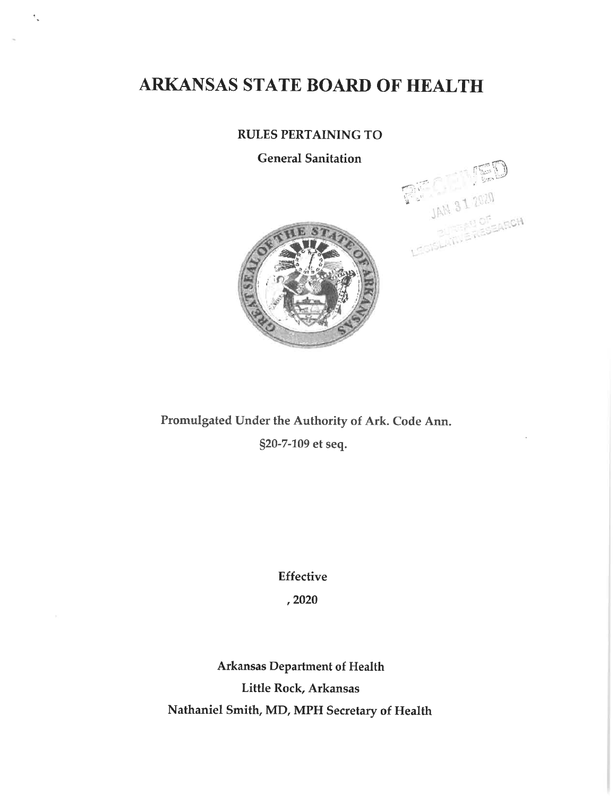# ARKANSAS STATE BOARD OF HEALTH

 $\frac{1}{2}$ 

# **RULES PERTAINING TO**

**General Sanitation** 





Promulgated Under the Authority of Ark. Code Ann. §20-7-109 et seq.

**Effective** 

, 2020

**Arkansas Department of Health** Little Rock, Arkansas Nathaniel Smith, MD, MPH Secretary of Health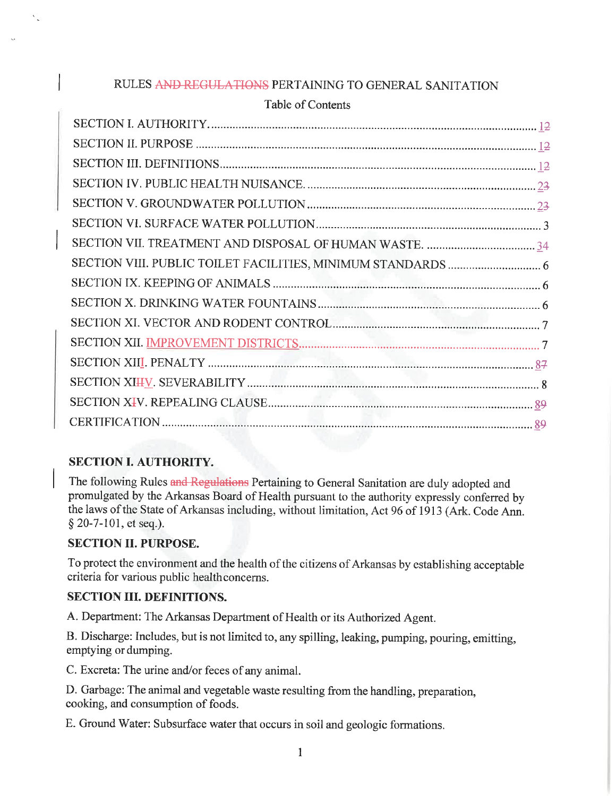# RULES AND REGULATIONS PERTAINING TO GENERAL SANITATION

# Table of Contents

# **SECTION I. AUTHORITY.**

The following Rules and Regulations Pertaining to General Sanitation are duly adopted and promulgated by the Arkansas Board of Health pursuant to the authority expressly conferred by the laws of the State of Arkansas including, without limitation, Act 96 of 1913 (Ark. Code Ann. § 20-7-101, et seq.).

# **SECTION II. PURPOSE.**

To protect the environment and the health of the citizens of Arkansas by establishing acceptable criteria for various public healthconcerns.

# **SECTION III. DEFINITIONS.**

A. Department: The Arkansas Department of Health or its Authorized Agent.

B. Discharge: Includes, but is not limited to, any spilling, leaking, pumping, pouring, emitting, emptying or dumping.

C. Excreta: The urine and/or feces of any animal.

D. Garbage: The animal and vegetable waste resulting from the handling, preparation, cooking, and consumption of foods.

E. Ground Water: Subsurface water that occurs in soil and geologic formations.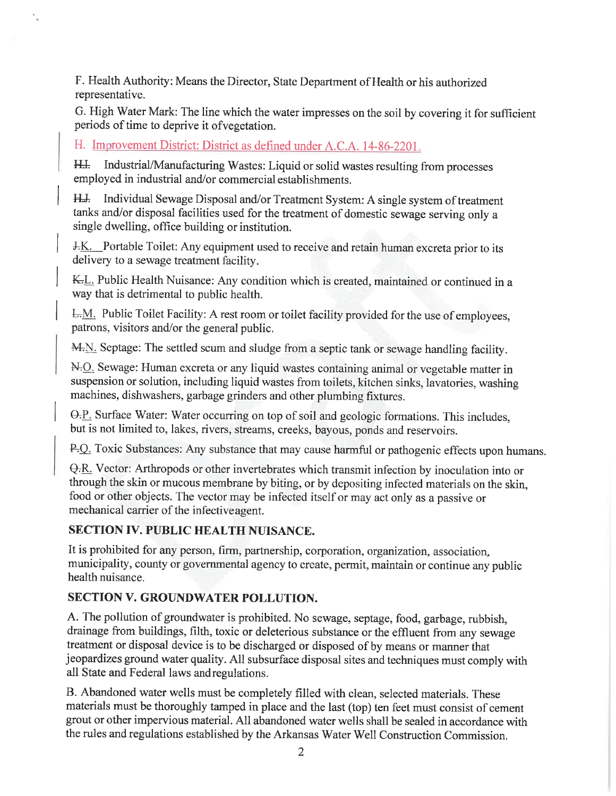F. Health Authority: Means the Director, State Department of Health or his authorized representative.

G. High Water Mark: The line which the water impresses on the soil by covering it for sufficient periods of time to deprive it of vegetation.

H. Improvement District: District as defined under A.C.A. 14-86-2201.

Industrial/Manufacturing Wastes: Liquid or solid wastes resulting from processes  $H$ employed in industrial and/or commercial establishments.

H.J. Individual Sewage Disposal and/or Treatment System: A single system of treatment tanks and/or disposal facilities used for the treatment of domestic sewage serving only a single dwelling, office building or institution.

J.K. Portable Toilet: Any equipment used to receive and retain human excreta prior to its delivery to a sewage treatment facility.

K.L. Public Health Nuisance: Any condition which is created, maintained or continued in a way that is detrimental to public health.

L.M. Public Toilet Facility: A rest room or toilet facility provided for the use of employees, patrons, visitors and/or the general public.

M.N. Septage: The settled scum and sludge from a septic tank or sewage handling facility.

N.O. Sewage: Human excreta or any liquid wastes containing animal or vegetable matter in suspension or solution, including liquid wastes from toilets, kitchen sinks, lavatories, washing machines, dishwashers, garbage grinders and other plumbing fixtures.

O.P. Surface Water: Water occurring on top of soil and geologic formations. This includes, but is not limited to, lakes, rivers, streams, creeks, bayous, ponds and reservoirs.

P.Q. Toxic Substances: Any substance that may cause harmful or pathogenic effects upon humans.

Q.R. Vector: Arthropods or other invertebrates which transmit infection by inoculation into or through the skin or mucous membrane by biting, or by depositing infected materials on the skin, food or other objects. The vector may be infected itself or may act only as a passive or mechanical carrier of the infective agent.

# **SECTION IV. PUBLIC HEALTH NUISANCE.**

It is prohibited for any person, firm, partnership, corporation, organization, association, municipality, county or governmental agency to create, permit, maintain or continue any public health nuisance.

# **SECTION V. GROUNDWATER POLLUTION.**

A. The pollution of groundwater is prohibited. No sewage, septage, food, garbage, rubbish, drainage from buildings, filth, toxic or deleterious substance or the effluent from any sewage treatment or disposal device is to be discharged or disposed of by means or manner that jeopardizes ground water quality. All subsurface disposal sites and techniques must comply with all State and Federal laws and regulations.

B. Abandoned water wells must be completely filled with clean, selected materials. These materials must be thoroughly tamped in place and the last (top) ten feet must consist of cement grout or other impervious material. All abandoned water wells shall be sealed in accordance with the rules and regulations established by the Arkansas Water Well Construction Commission.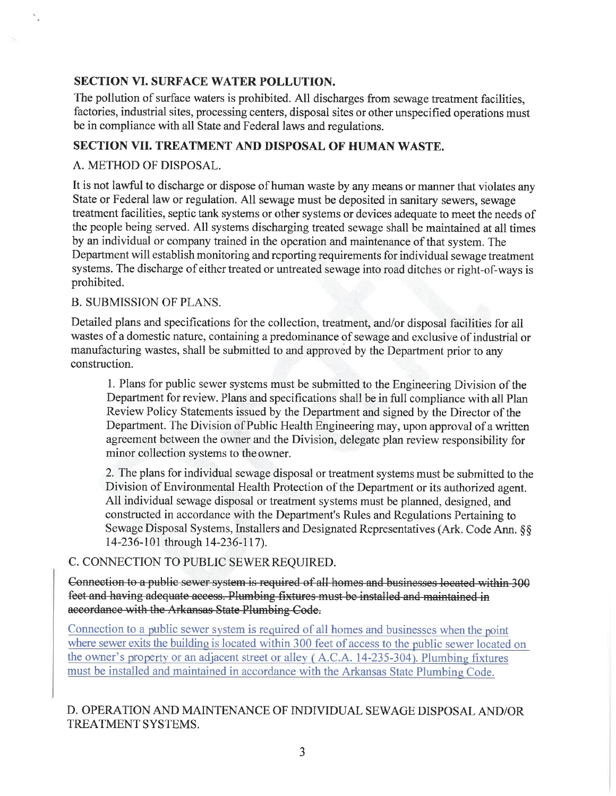# **SECTION VI. SURFACE WATER POLLUTION.**

The pollution of surface waters is prohibited. All discharges from sewage treatment facilities, factories, industrial sites, processing centers, disposal sites or other unspecified operations must be in compliance with all State and Federal laws and regulations.

### **SECTION VII. TREATMENT AND DISPOSAL OF HUMAN WASTE.**

#### A. METHOD OF DISPOSAL.

It is not lawful to discharge or dispose of human waste by any means or manner that violates any State or Federal law or regulation. All sewage must be deposited in sanitary sewers, sewage treatment facilities, septic tank systems or other systems or devices adequate to meet the needs of the people being served. All systems discharging treated sewage shall be maintained at all times by an individual or company trained in the operation and maintenance of that system. The Department will establish monitoring and reporting requirements for individual sewage treatment systems. The discharge of either treated or untreated sewage into road ditches or right-of-ways is prohibited.

#### **B. SUBMISSION OF PLANS.**

Detailed plans and specifications for the collection, treatment, and/or disposal facilities for all wastes of a domestic nature, containing a predominance of sewage and exclusive of industrial or manufacturing wastes, shall be submitted to and approved by the Department prior to any construction.

1. Plans for public sewer systems must be submitted to the Engineering Division of the Department for review. Plans and specifications shall be in full compliance with all Plan Review Policy Statements issued by the Department and signed by the Director of the Department. The Division of Public Health Engineering may, upon approval of a written agreement between the owner and the Division, delegate plan review responsibility for minor collection systems to the owner.

2. The plans for individual sewage disposal or treatment systems must be submitted to the Division of Environmental Health Protection of the Department or its authorized agent. All individual sewage disposal or treatment systems must be planned, designed, and constructed in accordance with the Department's Rules and Regulations Pertaining to Sewage Disposal Systems, Installers and Designated Representatives (Ark. Code Ann. §§ 14-236-101 through 14-236-117).

#### C. CONNECTION TO PUBLIC SEWER REQUIRED.

Connection to a public sewer system is required of all homes and businesses located within 300 feet and having adequate access. Plumbing fixtures must be installed and maintained in accordance with the Arkansas State Plumbing Code.

Connection to a public sewer system is required of all homes and businesses when the point where sewer exits the building is located within 300 feet of access to the public sewer located on the owner's property or an adjacent street or alley (A.C.A. 14-235-304). Plumbing fixtures must be installed and maintained in accordance with the Arkansas State Plumbing Code.

# D. OPERATION AND MAINTENANCE OF INDIVIDUAL SEWAGE DISPOSAL AND/OR TREATMENT SYSTEMS.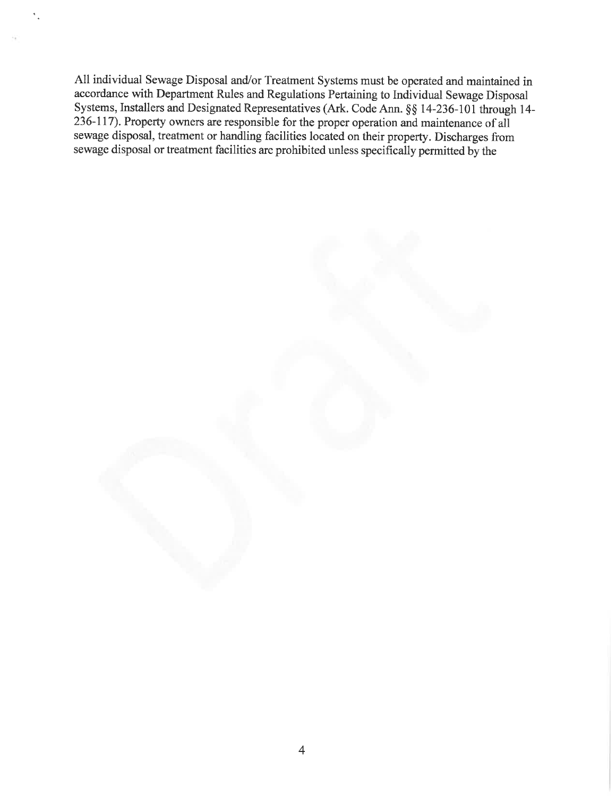All individual Sewage Disposal and/or Treatment Systems must be operated and maintained in accordance with Department Rules and Regulations Pertaining to Individual Sewage Disposal Systems, Installers and Designated Representatives (Ark. Code Ann. §§ 14-236-101 through 14-236-117). Property owners are responsible for the proper operation and maintenance of all sewage disposal, treatment or handling facilities located on their property. Discharges from sewage disposal or treatment facilities are prohibited unless specifically permitted by the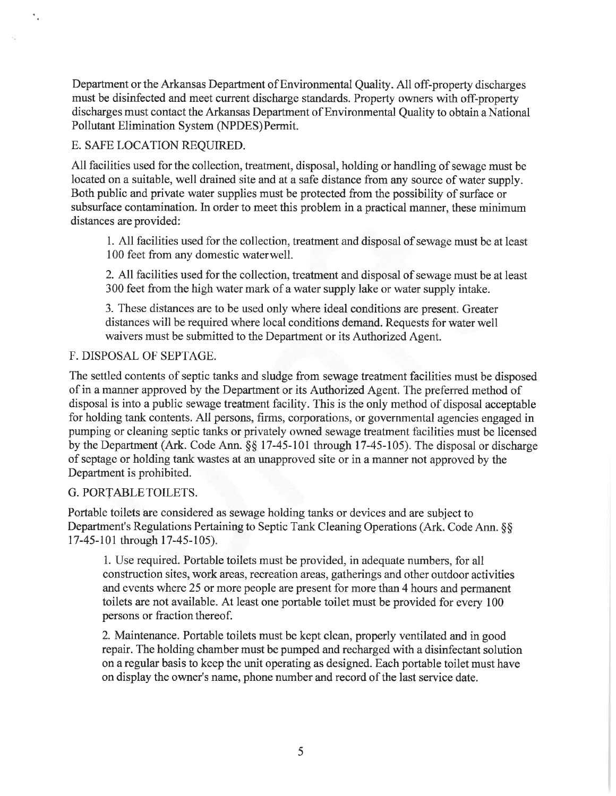Department or the Arkansas Department of Environmental Quality. All off-property discharges must be disinfected and meet current discharge standards. Property owners with off-property discharges must contact the Arkansas Department of Environmental Ouality to obtain a National Pollutant Elimination System (NPDES) Permit.

## E. SAFE LOCATION REOUIRED.

 $\frac{1}{\pi}$ 

All facilities used for the collection, treatment, disposal, holding or handling of sewage must be located on a suitable, well drained site and at a safe distance from any source of water supply. Both public and private water supplies must be protected from the possibility of surface or subsurface contamination. In order to meet this problem in a practical manner, these minimum distances are provided:

1. All facilities used for the collection, treatment and disposal of sewage must be at least 100 feet from any domestic water well.

2. All facilities used for the collection, treatment and disposal of sewage must be at least 300 feet from the high water mark of a water supply lake or water supply intake.

3. These distances are to be used only where ideal conditions are present. Greater distances will be required where local conditions demand. Requests for water well waivers must be submitted to the Department or its Authorized Agent.

#### F. DISPOSAL OF SEPTAGE.

The settled contents of septic tanks and sludge from sewage treatment facilities must be disposed of in a manner approved by the Department or its Authorized Agent. The preferred method of disposal is into a public sewage treatment facility. This is the only method of disposal acceptable for holding tank contents. All persons, firms, corporations, or governmental agencies engaged in pumping or cleaning septic tanks or privately owned sewage treatment facilities must be licensed by the Department (Ark. Code Ann. §§ 17-45-101 through 17-45-105). The disposal or discharge of septage or holding tank wastes at an unapproved site or in a manner not approved by the Department is prohibited.

#### G. PORTABLETOILETS.

Portable toilets are considered as sewage holding tanks or devices and are subject to Department's Regulations Pertaining to Septic Tank Cleaning Operations (Ark. Code Ann. §§ 17-45-101 through 17-45-105).

1. Use required. Portable toilets must be provided, in adequate numbers, for all construction sites, work areas, recreation areas, gatherings and other outdoor activities and events where 25 or more people are present for more than 4 hours and permanent toilets are not available. At least one portable toilet must be provided for every 100 persons or fraction thereof.

2. Maintenance. Portable toilets must be kept clean, properly ventilated and in good repair. The holding chamber must be pumped and recharged with a disinfectant solution on a regular basis to keep the unit operating as designed. Each portable toilet must have on display the owner's name, phone number and record of the last service date.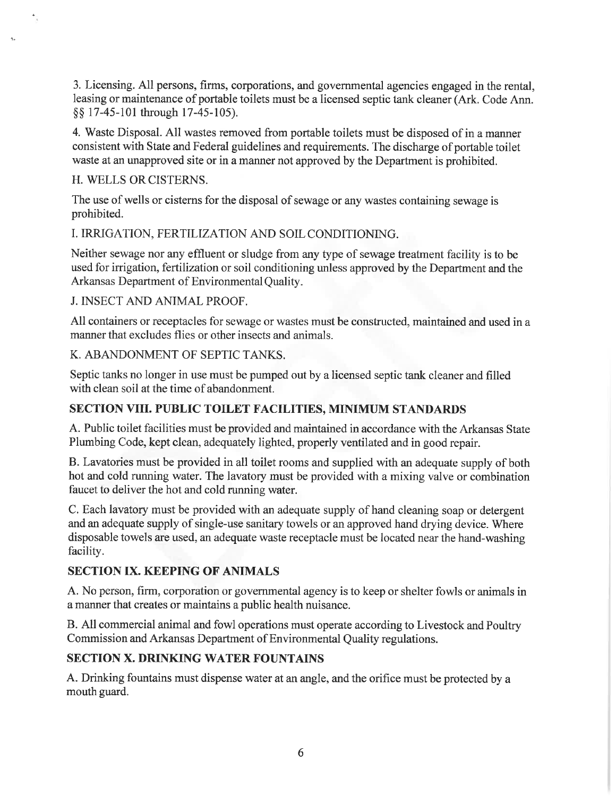3. Licensing. All persons, firms, corporations, and governmental agencies engaged in the rental. leasing or maintenance of portable toilets must be a licensed septic tank cleaner (Ark, Code Ann. §§ 17-45-101 through 17-45-105).

4. Waste Disposal. All wastes removed from portable toilets must be disposed of in a manner consistent with State and Federal guidelines and requirements. The discharge of portable toilet waste at an unapproved site or in a manner not approved by the Department is prohibited.

#### H. WELLS OR CISTERNS.

 $\Delta_{\rm H}$ 

The use of wells or cisterns for the disposal of sewage or any wastes containing sewage is prohibited.

I. IRRIGATION, FERTILIZATION AND SOIL CONDITIONING.

Neither sewage nor any effluent or sludge from any type of sewage treatment facility is to be used for irrigation, fertilization or soil conditioning unless approved by the Department and the Arkansas Department of Environmental Quality.

#### **J. INSECT AND ANIMAL PROOF.**

All containers or receptacles for sewage or wastes must be constructed, maintained and used in a manner that excludes flies or other insects and animals.

### K. ABANDONMENT OF SEPTIC TANKS.

Septic tanks no longer in use must be pumped out by a licensed septic tank cleaner and filled with clean soil at the time of abandonment.

# **SECTION VIII. PUBLIC TOILET FACILITIES, MINIMUM STANDARDS**

A. Public toilet facilities must be provided and maintained in accordance with the Arkansas State Plumbing Code, kept clean, adequately lighted, properly ventilated and in good repair.

B. Lavatories must be provided in all toilet rooms and supplied with an adequate supply of both hot and cold running water. The lavatory must be provided with a mixing valve or combination faucet to deliver the hot and cold running water.

C. Each lavatory must be provided with an adequate supply of hand cleaning soap or detergent and an adequate supply of single-use sanitary towels or an approved hand drying device. Where disposable towels are used, an adequate waste receptacle must be located near the hand-washing facility.

# **SECTION IX. KEEPING OF ANIMALS**

A. No person, firm, corporation or governmental agency is to keep or shelter fowls or animals in a manner that creates or maintains a public health nuisance.

B. All commercial animal and fowl operations must operate according to Livestock and Poultry Commission and Arkansas Department of Environmental Quality regulations.

# **SECTION X. DRINKING WATER FOUNTAINS**

A. Drinking fountains must dispense water at an angle, and the orifice must be protected by a mouth guard.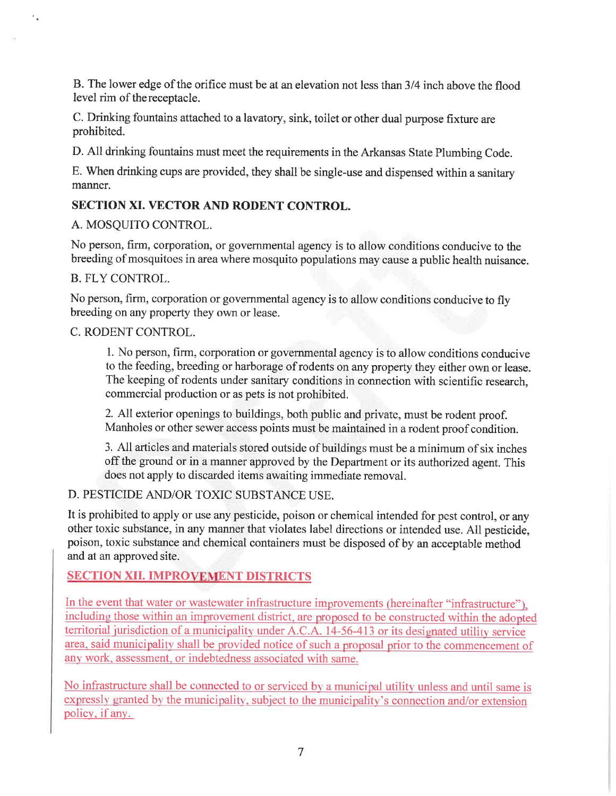B. The lower edge of the orifice must be at an elevation not less than 3/4 inch above the flood level rim of the receptacle.

C. Drinking fountains attached to a lavatory, sink, toilet or other dual purpose fixture are prohibited.

D. All drinking fountains must meet the requirements in the Arkansas State Plumbing Code.

E. When drinking cups are provided, they shall be single-use and dispensed within a sanitary manner.

# **SECTION XI. VECTOR AND RODENT CONTROL.**

# A. MOSOUITO CONTROL.

No person, firm, corporation, or governmental agency is to allow conditions conducive to the breeding of mosquitoes in area where mosquito populations may cause a public health nuisance.

**B. FLY CONTROL.** 

No person, firm, corporation or governmental agency is to allow conditions conducive to fly breeding on any property they own or lease.

# C. RODENT CONTROL.

1. No person, firm, corporation or governmental agency is to allow conditions conducive to the feeding, breeding or harborage of rodents on any property they either own or lease. The keeping of rodents under sanitary conditions in connection with scientific research, commercial production or as pets is not prohibited.

2. All exterior openings to buildings, both public and private, must be rodent proof. Manholes or other sewer access points must be maintained in a rodent proof condition.

3. All articles and materials stored outside of buildings must be a minimum of six inches off the ground or in a manner approved by the Department or its authorized agent. This does not apply to discarded items awaiting immediate removal.

# D. PESTICIDE AND/OR TOXIC SUBSTANCE USE.

It is prohibited to apply or use any pesticide, poison or chemical intended for pest control, or any other toxic substance, in any manner that violates label directions or intended use. All pesticide, poison, toxic substance and chemical containers must be disposed of by an acceptable method and at an approved site.

# **SECTION XII. IMPROVEMENT DISTRICTS**

In the event that water or wastewater infrastructure improvements (hereinafter "infrastructure"). including those within an improvement district, are proposed to be constructed within the adopted territorial jurisdiction of a municipality under A.C.A. 14-56-413 or its designated utility service area, said municipality shall be provided notice of such a proposal prior to the commencement of any work, assessment, or indebtedness associated with same.

No infrastructure shall be connected to or serviced by a municipal utility unless and until same is expressly granted by the municipality, subject to the municipality's connection and/or extension policy, if any.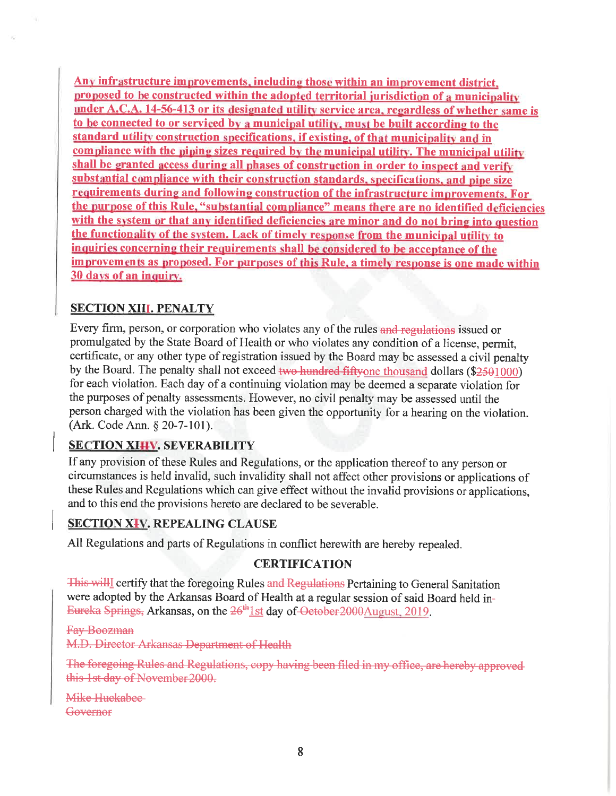Any infrastructure improvements, including those within an improvement district. proposed to be constructed within the adopted territorial jurisdiction of a municipality under A.C.A. 14-56-413 or its designated utility service area, regardless of whether same is to be connected to or serviced by a municipal utility, must be built according to the standard utility construction specifications, if existing, of that municipality and in compliance with the piping sizes required by the municipal utility. The municipal utility shall be granted access during all phases of construction in order to inspect and verify substantial compliance with their construction standards, specifications, and pipe size requirements during and following construction of the infrastructure improvements. For the purpose of this Rule, "substantial compliance" means there are no identified deficiencies with the system or that any identified deficiencies are minor and do not bring into question the functionality of the system. Lack of timely response from the municipal utility to inquiries concerning their requirements shall be considered to be acceptance of the improvements as proposed. For purposes of this Rule, a timely response is one made within 30 days of an inquiry.

# **SECTION XIII. PENALTY**

Every firm, person, or corporation who violates any of the rules and regulations issued or promulgated by the State Board of Health or who violates any condition of a license, permit, certificate, or any other type of registration issued by the Board may be assessed a civil penalty by the Board. The penalty shall not exceed two hundred fiftyone thousand dollars (\$2501000) for each violation. Each day of a continuing violation may be deemed a separate violation for the purposes of penalty assessments. However, no civil penalty may be assessed until the person charged with the violation has been given the opportunity for a hearing on the violation. (Ark. Code Ann. § 20-7-101).

# **SECTION XIHV. SEVERABILITY**

If any provision of these Rules and Regulations, or the application thereof to any person or circumstances is held invalid, such invalidity shall not affect other provisions or applications of these Rules and Regulations which can give effect without the invalid provisions or applications, and to this end the provisions hereto are declared to be severable.

# **SECTION XIV. REPEALING CLAUSE**

All Regulations and parts of Regulations in conflict herewith are hereby repealed.

# **CERTIFICATION**

This will certify that the foregoing Rules and Regulations Pertaining to General Sanitation were adopted by the Arkansas Board of Health at a regular session of said Board held in-Eureka Springs, Arkansas, on the 26<sup>th</sup>1st day of October 2000 August, 2019.

**Fay Boozman** M.D. Director Arkansas Department of Health

The foregoing Rules and Regulations, copy having been filed in my office, are hereby approved this 1st day of November 2000.

Mike Huckabee Governor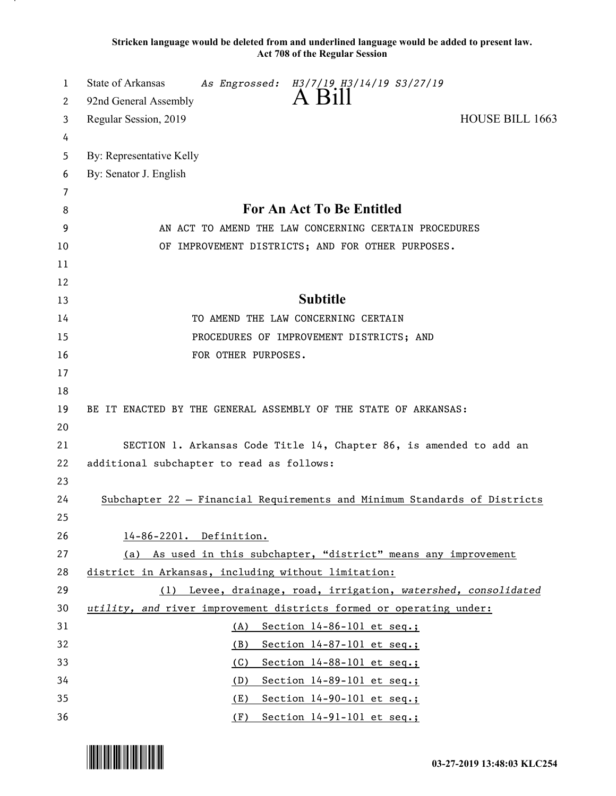**Stricken language would be deleted from and underlined language would be added to present law. Act 708 of the Regular Session**

| 1      | State of Arkansas<br>As Engrossed: H3/7/19 H3/14/19 S3/27/19<br>A Bill    |
|--------|---------------------------------------------------------------------------|
| 2      | 92nd General Assembly                                                     |
| 3      | Regular Session, 2019<br><b>HOUSE BILL 1663</b>                           |
| 4      |                                                                           |
| 5      | By: Representative Kelly                                                  |
| 6      | By: Senator J. English                                                    |
| 7<br>8 | For An Act To Be Entitled                                                 |
| 9      | AN ACT TO AMEND THE LAW CONCERNING CERTAIN PROCEDURES                     |
| 10     | OF IMPROVEMENT DISTRICTS; AND FOR OTHER PURPOSES.                         |
| 11     |                                                                           |
| 12     |                                                                           |
| 13     | <b>Subtitle</b>                                                           |
| 14     | TO AMEND THE LAW CONCERNING CERTAIN                                       |
| 15     | PROCEDURES OF IMPROVEMENT DISTRICTS; AND                                  |
| 16     | FOR OTHER PURPOSES.                                                       |
| 17     |                                                                           |
| 18     |                                                                           |
| 19     | BE IT ENACTED BY THE GENERAL ASSEMBLY OF THE STATE OF ARKANSAS:           |
| 20     |                                                                           |
| 21     | SECTION 1. Arkansas Code Title 14, Chapter 86, is amended to add an       |
| 22     | additional subchapter to read as follows:                                 |
| 23     |                                                                           |
| 24     | Subchapter 22 - Financial Requirements and Minimum Standards of Districts |
| 25     |                                                                           |
| 26     | 14-86-2201. Definition.                                                   |
| 27     | (a) As used in this subchapter, "district" means any improvement          |
| 28     | district in Arkansas, including without limitation:                       |
| 29     | (1) Levee, drainage, road, irrigation, watershed, consolidated            |
| 30     | utility, and river improvement districts formed or operating under:       |
| 31     | Section 14-86-101 et seq.;<br>(A)                                         |
| 32     | Section 14-87-101 et seq.;<br>(B)                                         |
| 33     | Section 14-88-101 et seq.;<br>(C)                                         |
| 34     | Section 14-89-101 et seq.;<br>(D)                                         |
| 35     | Section 14-90-101 et seq.;<br>(E)                                         |
| 36     | $(F)$ Section 14-91-101 et seq.;                                          |

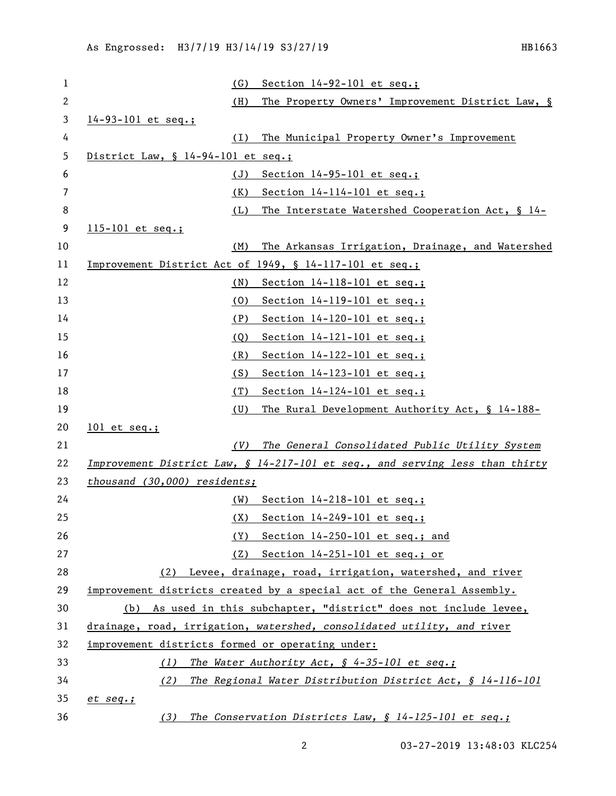| . | ο | n |  |
|---|---|---|--|
|---|---|---|--|

| 1  | Section $14-92-101$ et seq.;<br>(G)                                          |
|----|------------------------------------------------------------------------------|
| 2  | (H)<br>The Property Owners' Improvement District Law, §                      |
| 3  | 14-93-101 et seq.;                                                           |
| 4  | The Municipal Property Owner's Improvement<br>(I)                            |
| 5  | District Law, $\frac{1}{4}$ 14-94-101 et seq.;                               |
| 6  | Section $14-95-101$ et seq.;<br>(J)                                          |
| 7  | Section $14-114-101$ et seq.;<br>(K)                                         |
| 8  | The Interstate Watershed Cooperation Act, § 14-<br>(L)                       |
| 9  | 115-101 et seq.;                                                             |
| 10 | The Arkansas Irrigation, Drainage, and Watershed<br>(M)                      |
| 11 | Improvement District Act of 1949, § 14-117-101 et seq.;                      |
| 12 | Section 14-118-101 et seq.;<br>(N)                                           |
| 13 | Section 14-119-101 et seq.;<br>(0)                                           |
| 14 | (P)<br>Section $14-120-101$ et seq.;                                         |
| 15 | Section 14-121-101 et seq.;<br>(Q)                                           |
| 16 | (R)<br>Section $14-122-101$ et seq.;                                         |
| 17 | (S)<br>Section 14-123-101 et seq.;                                           |
| 18 | Section $14-124-101$ et seq.;<br>(T)                                         |
| 19 | (U)<br>The Rural Development Authority Act, § 14-188-                        |
| 20 | $101$ et seq.;                                                               |
| 21 | The General Consolidated Public Utility System<br>(V)                        |
| 22 | Improvement District Law, § 14-217-101 et seq., and serving less than thirty |
| 23 | thousand (30,000) residents;                                                 |
| 24 | (W)<br>Section 14-218-101 et seq.;                                           |
| 25 | Section $14-249-101$ et seq.;<br>(X)                                         |
| 26 | Section 14-250-101 et seq.; and<br>(Y)                                       |
| 27 | (Z) Section 14-251-101 et seq.; or                                           |
| 28 | (2) Levee, drainage, road, irrigation, watershed, and river                  |
| 29 | improvement districts created by a special act of the General Assembly.      |
| 30 | (b) As used in this subchapter, "district" does not include levee,           |
| 31 | drainage, road, irrigation, watershed, consolidated utility, and river       |
| 32 | improvement districts formed or operating under:                             |
| 33 | The Water Authority Act, § 4-35-101 et seq.;<br>(1)                          |
| 34 | The Regional Water Distribution District Act, § 14-116-101<br>(2)            |
| 35 | $et$ $seq$ .;                                                                |
| 36 | The Conservation Districts Law, $$ 14-125-101$ et seq.;<br>(3)               |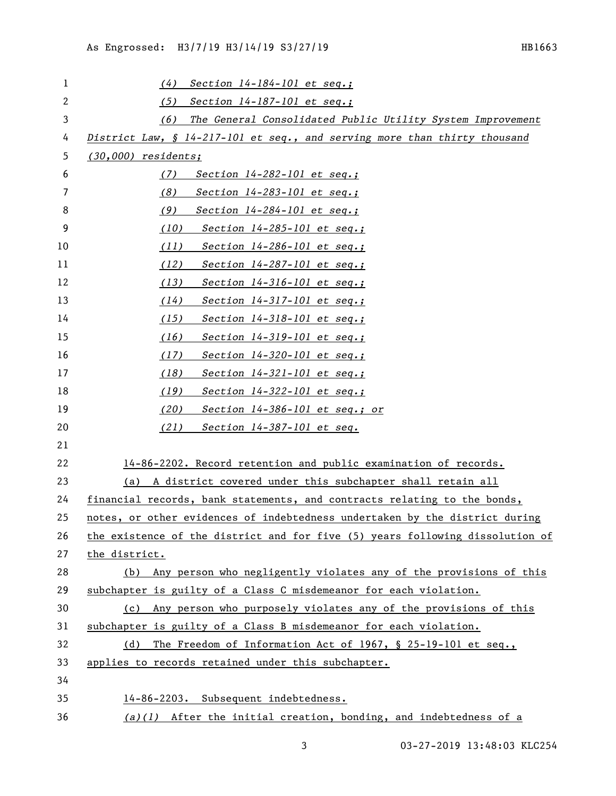| 1              | Section $14-184-101$ et seq.;<br>(4)                                          |
|----------------|-------------------------------------------------------------------------------|
| $\overline{c}$ |                                                                               |
|                | (5)<br>Section $14-187-101$ et seq.;                                          |
| 3              | (6)<br>The General Consolidated Public Utility System Improvement             |
| 4              | District Law, § 14-217-101 et seq., and serving more than thirty thousand     |
| 5              | $(30,000)$ residents;                                                         |
| 6              | (7)<br>Section $14-282-101$ et seq.;                                          |
| 7              | (8)<br>Section $14-283-101$ et seq.;                                          |
| 8              | (9)<br>Section $14-284-101$ et seq.;                                          |
| 9              | (10)<br>Section $14-285-101$ et seq.;                                         |
| 10             | Section $14-286-101$ et seq.;<br>(11)                                         |
| 11             | (12)<br>Section $14-287-101$ et seq.;                                         |
| 12             | (13)<br>Section $14-316-101$ et seq.;                                         |
| 13             | Section $14-317-101$ et seq.;<br>(14)                                         |
| 14             | (15)<br>Section $14-318-101$ et seq.;                                         |
| 15             | (16)<br>Section $14-319-101$ et seq.;                                         |
| 16             | Section $14-320-101$ et seq.;<br>(17)                                         |
| 17             | (18)<br>Section $14-321-101$ et seq.;                                         |
| 18             | (19)<br>Section $14-322-101$ et seq.;                                         |
| 19             | (20)<br>Section $14-386-101$ et seq.; or                                      |
| 20             | (21)<br>Section $14-387-101$ et seq.                                          |
| 21             |                                                                               |
| 22             | 14-86-2202. Record retention and public examination of records.               |
| 23             | (a) A district covered under this subchapter shall retain all                 |
| 24             | financial records, bank statements, and contracts relating to the bonds,      |
| 25             | notes, or other evidences of indebtedness undertaken by the district during   |
| 26             | the existence of the district and for five (5) years following dissolution of |
| 27             | the district.                                                                 |
| 28             | (b) Any person who negligently violates any of the provisions of this         |
| 29             | subchapter is guilty of a Class C misdemeanor for each violation.             |
| 30             | (c) Any person who purposely violates any of the provisions of this           |
| 31             | subchapter is guilty of a Class B misdemeanor for each violation.             |
| 32             | The Freedom of Information Act of 1967, $\S$ 25-19-101 et seq.,<br>(d)        |
| 33             | applies to records retained under this subchapter.                            |
| 34             |                                                                               |
| 35             | 14-86-2203. Subsequent indebtedness.                                          |
| 36             | $(a)(1)$ After the initial creation, bonding, and indebtedness of a           |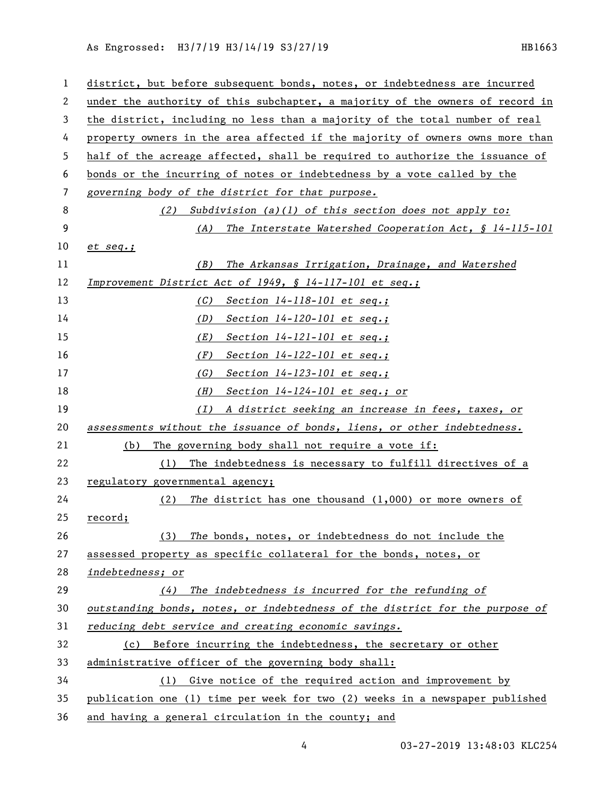As Engrossed: H3/7/19 H3/14/19 S3/27/19 1120 1200 1200 1200 131663

| 1  | district, but before subsequent bonds, notes, or indebtedness are incurred    |
|----|-------------------------------------------------------------------------------|
| 2  | under the authority of this subchapter, a majority of the owners of record in |
| 3  | the district, including no less than a majority of the total number of real   |
| 4  | property owners in the area affected if the majority of owners owns more than |
| 5  | half of the acreage affected, shall be required to authorize the issuance of  |
| 6  | bonds or the incurring of notes or indebtedness by a vote called by the       |
| 7  | governing body of the district for that purpose.                              |
| 8  | Subdivision $(a)(1)$ of this section does not apply to:<br>(2)                |
| 9  | The Interstate Watershed Cooperation Act, $\S$ 14-115-101<br>(A)              |
| 10 | $et$ $seq$ .;                                                                 |
| 11 | The Arkansas Irrigation, Drainage, and Watershed<br>(B)                       |
| 12 | Improvement District Act of 1949, § 14-117-101 et seq.;                       |
| 13 | Section 14-118-101 et seq.;<br>(C)                                            |
| 14 | Section $14-120-101$ et seq.;<br>(D)                                          |
| 15 | (E)<br>Section $14 - 121 - 101$ et seq.;                                      |
| 16 | (F)<br>Section $14 - 122 - 101$ et seq.;                                      |
| 17 | (G)<br>Section $14 - 123 - 101$ et seq.;                                      |
| 18 | (H)<br>Section $14-124-101$ et seq.; or                                       |
| 19 | A district seeking an increase in fees, taxes, or<br>(I)                      |
| 20 | assessments without the issuance of bonds, liens, or other indebtedness.      |
| 21 | (b)<br>The governing body shall not require a vote if:                        |
| 22 | The indebtedness is necessary to fulfill directives of a<br>(1)               |
| 23 | regulatory governmental agency;                                               |
| 24 | The district has one thousand $(1,000)$ or more owners of<br>(2)              |
| 25 | <u>record;</u>                                                                |
| 26 | The bonds, notes, or indebtedness do not include the<br>(3)                   |
| 27 | assessed property as specific collateral for the bonds, notes, or             |
| 28 | indebtedness; or                                                              |
| 29 | The indebtedness is incurred for the refunding of<br>(4)                      |
| 30 | outstanding bonds, notes, or indebtedness of the district for the purpose of  |
| 31 | reducing debt service and creating economic savings.                          |
| 32 | Before incurring the indebtedness, the secretary or other<br>(c)              |
| 33 | administrative officer of the governing body shall:                           |
| 34 | Give notice of the required action and improvement by<br>(1)                  |
| 35 | publication one (1) time per week for two (2) weeks in a newspaper published  |
| 36 | and having a general circulation in the county; and                           |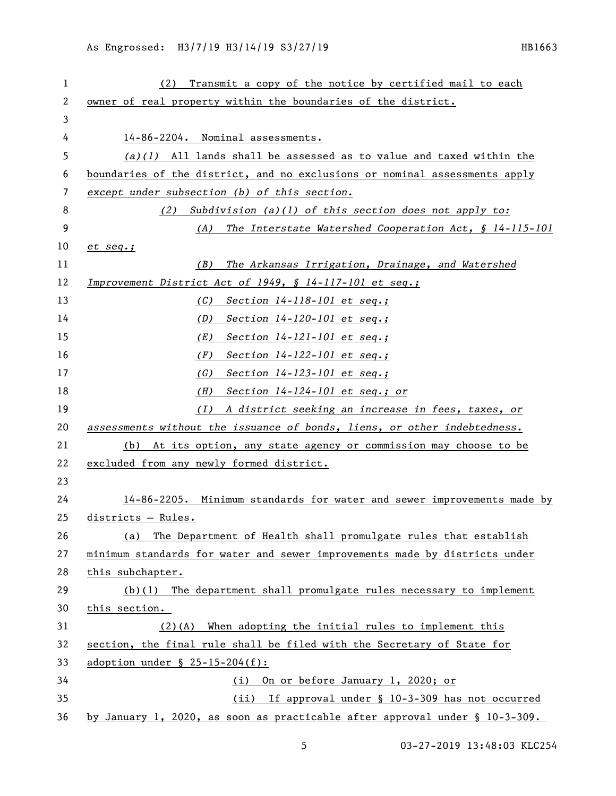| 1  | Transmit a copy of the notice by certified mail to each<br>(2)              |
|----|-----------------------------------------------------------------------------|
| 2  | owner of real property within the boundaries of the district.               |
| 3  |                                                                             |
| 4  | 14-86-2204. Nominal assessments.                                            |
| 5  | $(a)(1)$ All lands shall be assessed as to value and taxed within the       |
| 6  | boundaries of the district, and no exclusions or nominal assessments apply  |
| 7  | except under subsection (b) of this section.                                |
| 8  | Subdivision $(a)(1)$ of this section does not apply to:<br>(2)              |
| 9  | The Interstate Watershed Cooperation Act, § 14-115-101<br>(A)               |
| 10 | $et$ $seq$ .;                                                               |
| 11 | The Arkansas Irrigation, Drainage, and Watershed<br>(B)                     |
| 12 | Improvement District Act of 1949, § 14-117-101 et seq.;                     |
| 13 | Section $14-118-101$ et seq.;<br>(C)                                        |
| 14 | Section $14-120-101$ et seq.;<br>(D)                                        |
| 15 | (E)<br>Section $14 - 121 - 101$ et seq.;                                    |
| 16 | Section $14 - 122 - 101$ et seq.;<br>(F)                                    |
| 17 | Section 14-123-101 et seq.;<br>(G)                                          |
| 18 | Section 14-124-101 et seq.; or<br>(H)                                       |
| 19 | (I)<br>A district seeking an increase in fees, taxes, or                    |
| 20 | assessments without the issuance of bonds, liens, or other indebtedness.    |
| 21 | (b) At its option, any state agency or commission may choose to be          |
| 22 | excluded from any newly formed district.                                    |
| 23 |                                                                             |
| 24 | 14-86-2205. Minimum standards for water and sewer improvements made by      |
| 25 | districts - Rules.                                                          |
| 26 | The Department of Health shall promulgate rules that establish<br>(a)       |
| 27 | minimum standards for water and sewer improvements made by districts under  |
| 28 | this subchapter.                                                            |
| 29 | $(b)(1)$ The department shall promulgate rules necessary to implement       |
| 30 | this section.                                                               |
| 31 | $(2)(A)$ When adopting the initial rules to implement this                  |
| 32 | section, the final rule shall be filed with the Secretary of State for      |
| 33 | adoption under $\S$ 25-15-204(f):                                           |
| 34 | On or before January 1, 2020; or<br>(i)                                     |
| 35 | (ii) If approval under § 10-3-309 has not occurred                          |
| 36 | by January 1, 2020, as soon as practicable after approval under § 10-3-309. |